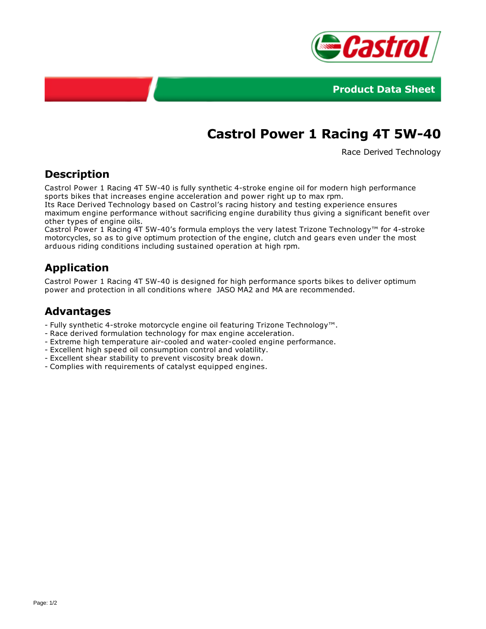



# **Castrol Power 1 Racing 4T 5W-40**

Race Derived Technology

#### **Description**

Castrol Power 1 Racing 4T 5W-40 is fully synthetic 4-stroke engine oil for modern high performance sports bikes that increases engine acceleration and power right up to max rpm.

Its Race Derived Technology based on Castrol's racing history and testing experience ensures maximum engine performance without sacrificing engine durability thus giving a significant benefit over other types of engine oils.

Castrol Power 1 Racing 4T 5W-40's formula employs the very latest Trizone Technology™ for 4-stroke motorcycles, so as to give optimum protection of the engine, clutch and gears even under the most arduous riding conditions including sustained operation at high rpm.

## **Application**

Castrol Power 1 Racing 4T 5W-40 is designed for high performance sports bikes to deliver optimum power and protection in all conditions where JASO MA2 and MA are recommended.

## **Advantages**

- Fully synthetic 4-stroke motorcycle engine oil featuring Trizone Technology™.
- Race derived formulation technology for max engine acceleration.
- Extreme high temperature air-cooled and water-cooled engine performance.
- Excellent high speed oil consumption control and volatility.
- Excellent shear stability to prevent viscosity break down.
- Complies with requirements of catalyst equipped engines.